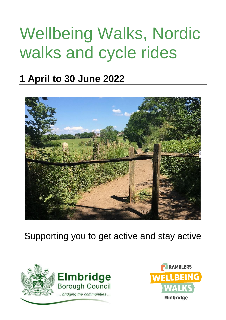# Wellbeing Walks, Nordic walks and cycle rides

## **1 April to 30 June 2022**



Supporting you to get active and stay active



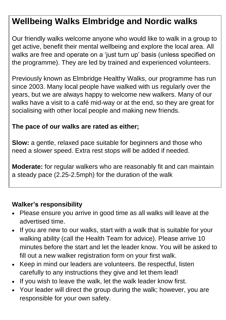### **Wellbeing Walks Elmbridge and Nordic walks**

Our friendly walks welcome anyone who would like to walk in a group to get active, benefit their mental wellbeing and explore the local area. All walks are free and operate on a 'just turn up' basis (unless specified on the programme). They are led by trained and experienced volunteers.

Previously known as Elmbridge Healthy Walks, our programme has run since 2003. Many local people have walked with us regularly over the years, but we are always happy to welcome new walkers. Many of our walks have a visit to a café mid-way or at the end, so they are great for socialising with other local people and making new friends.

#### **The pace of our walks are rated as either;**

**Slow:** a gentle, relaxed pace suitable for beginners and those who need a slower speed. Extra rest stops will be added if needed.

**Moderate:** for regular walkers who are reasonably fit and can maintain a steady pace (2.25-2.5mph) for the duration of the walk

#### **Walker's responsibility**

- Please ensure you arrive in good time as all walks will leave at the advertised time.
- If you are new to our walks, start with a walk that is suitable for your walking ability (call the Health Team for advice). Please arrive 10 minutes before the start and let the leader know. You will be asked to fill out a new walker registration form on your first walk.
- Keep in mind our leaders are volunteers. Be respectful, listen carefully to any instructions they give and let them lead!
- If you wish to leave the walk, let the walk leader know first.
- Your leader will direct the group during the walk; however, you are responsible for your own safety.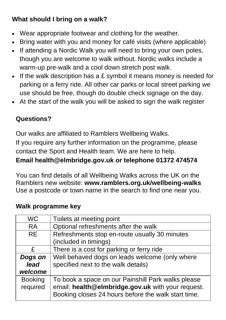#### **What should I bring on a walk?**

- Wear appropriate footwear and clothing for the weather.
- Bring water with you and money for café visits (where applicable)
- If attending a Nordic Walk you will need to bring your own poles, though you are welcome to walk without. Nordic walks include a warm-up pre-walk and a cool down stretch post walk.
- If the walk description has a £ symbol it means money is needed for parking or a ferry ride. All other car parks or local street parking we use should be free, though do double check signage on the day.
- At the start of the walk you will be asked to sign the walk register

#### **Questions?**

Our walks are affiliated to Ramblers Wellbeing Walks. If you require any further information on the programme, please contact the Sport and Health team. We are here to help. **Email [health@elmbridge.gov.uk](mailto:health@elmbridge.gov.uk) or telephone 01372 474574**

You can find details of all Wellbeing Walks across the UK on the Ramblers new website: **[www.ramblers.org.uk/wellbeing-walks](http://www.ramblers.org.uk/wellbeing-walks)** Use a postcode or town name in the search to find one near you.

#### **Walk programme key**

| <b>WC</b>      | Toilets at meeting point                            |
|----------------|-----------------------------------------------------|
| <b>RA</b>      | Optional refreshments after the walk                |
| <b>RE</b>      | Refreshments stop en-route usually 30 minutes       |
|                | (included in timings)                               |
| £              | There is a cost for parking or ferry ride           |
| Dogs on        | Well behaved dogs on leads welcome (only where      |
| lead           | specified next to the walk details)                 |
| welcome        |                                                     |
| <b>Booking</b> | To book a space on our Painshill Park walks please  |
| required       | email: health@elmbridge.gov.uk with your request.   |
|                | Booking closes 24 hours before the walk start time. |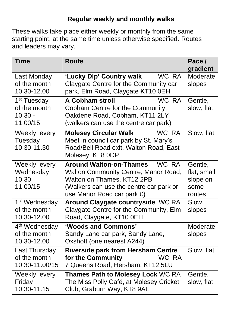#### **Regular weekly and monthly walks**

These walks take place either weekly or monthly from the same starting point, at the same time unless otherwise specified. Routes and leaders may vary.

| <b>Time</b>                                                          | <b>Route</b>                                                                                                                                                                           | Pace /<br>gradient                                   |
|----------------------------------------------------------------------|----------------------------------------------------------------------------------------------------------------------------------------------------------------------------------------|------------------------------------------------------|
| Last Monday<br>of the month<br>10.30-12.00                           | 'Lucky Dip' Country walk<br>WC RA<br>Claygate Centre for the Community car<br>park, Elm Road, Claygate KT10 0EH                                                                        | Moderate<br>slopes                                   |
| $\overline{1^{st}}$ Tuesday<br>of the month<br>$10.30 -$<br>11.00/15 | WC RA<br><b>A Cobham stroll</b><br>Cobham Centre for the Community,<br>Oakdene Road, Cobham, KT11 2LY<br>(walkers can use the centre car park)                                         | Gentle,<br>slow, flat                                |
| Weekly, every<br>Tuesday<br>10.30-11.30                              | <b>Molesey Circular Walk</b><br>WC RA<br>Meet in council car park by St. Mary's<br>Road/Bell Road exit, Walton Road, East<br>Molesey, KT8 0DP                                          | Slow, flat                                           |
| Weekly, every<br>Wednesday<br>$10.30 -$<br>11.00/15                  | <b>Around Walton-on-Thames</b><br>WC RA<br>Walton Community Centre, Manor Road,<br>Walton on Thames, KT12 2PB<br>(Walkers can use the centre car park or<br>use Manor Road car park £) | Gentle,<br>flat, small<br>slope on<br>some<br>routes |
| 1 <sup>st</sup> Wednesday<br>of the month<br>10.30-12.00             | Around Claygate countryside WC RA<br>Claygate Centre for the Community, Elm<br>Road, Claygate, KT10 0EH                                                                                | Slow,<br>slopes                                      |
| 4 <sup>th</sup> Wednesday<br>of the month<br>10.30-12.00             | 'Woods and Commons'<br>Sandy Lane car park, Sandy Lane,<br>Oxshott (one nearest A244)                                                                                                  | Moderate<br>slopes                                   |
| Last Thursday<br>of the month<br>10.30-11.00/15                      | <b>Riverside park from Hersham Centre</b><br>for the Community<br>WC RA<br>7 Queens Road, Hersham, KT12 5LU                                                                            | Slow, flat                                           |
| Weekly, every<br>Friday<br>10.30-11.15                               | Thames Path to Molesey Lock WC RA<br>The Miss Polly Café, at Molesey Cricket<br>Club, Graburn Way, KT8 9AL                                                                             | Gentle,<br>slow, flat                                |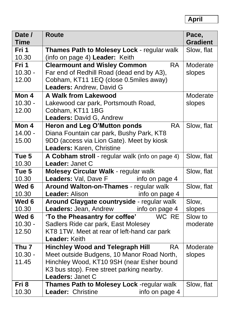**April**

| Date /               | <b>Route</b>                                                                   | Pace,           |
|----------------------|--------------------------------------------------------------------------------|-----------------|
| <b>Time</b><br>Fri 1 |                                                                                | <b>Gradient</b> |
|                      | Thames Path to Molesey Lock - regular walk                                     | Slow, flat      |
| 10.30                | (info on page 4) Leader: Keith<br><b>RA</b>                                    |                 |
| Fri 1                | <b>Clearmount and Wisley Common</b>                                            | Moderate        |
| $10.30 -$            | Far end of Redhill Road (dead end by A3),                                      | slopes          |
| 12.00                | Cobham, KT11 1EQ (close 0.5miles away)                                         |                 |
|                      | Leaders: Andrew, David G                                                       |                 |
| Mon 4                | <b>A Walk from Lakewood</b>                                                    | Moderate        |
| $10.30 -$            | Lakewood car park, Portsmouth Road,                                            | slopes          |
| 12.00                | Cobham, KT11 1BG                                                               |                 |
|                      | <b>Leaders: David G, Andrew</b>                                                |                 |
| Mon 4                | Heron and Leg O'Mutton ponds<br><b>RA</b>                                      | Slow, flat      |
| $14.00 -$            | Diana Fountain car park, Bushy Park, KT8                                       |                 |
| 15.00                | 9DD (access via Lion Gate). Meet by kiosk                                      |                 |
|                      | Leaders: Karen, Christine                                                      |                 |
| Tue 5                | A Cobham stroll - regular walk (info on page 4)                                | Slow, flat      |
| 10.30                | Leader: Janet C                                                                |                 |
| Tue 5                | Molesey Circular Walk - regular walk                                           | Slow, flat      |
| 10.30                | Leaders: Val, Dave F<br>info on page 4                                         |                 |
| Wed 6                | Around Walton-on-Thames - regular walk                                         | Slow, flat      |
| 10.30<br>Wed 6       | Leader: Alison<br>info on page 4<br>Around Claygate countryside - regular walk |                 |
| 10.30                | Leaders: Jean, Andrew<br>info on page 4                                        | Slow,<br>slopes |
| Wed 6                | 'To the Pheasantry for coffee'<br>WC RE                                        | Slow to         |
| $10.30 -$            | Sadlers Ride car park, East Molesey                                            | moderate        |
| 12.50                | KT8 1TW. Meet at rear of left-hand car park                                    |                 |
|                      | Leader: Keith                                                                  |                 |
| Thu <sub>7</sub>     | <b>Hinchley Wood and Telegraph Hill</b><br><b>RA</b>                           | Moderate        |
| $10.30 -$            | Meet outside Budgens, 10 Manor Road North,                                     | slopes          |
| 11.45                | Hinchley Wood, KT10 9SH (near Esher bound                                      |                 |
|                      | K3 bus stop). Free street parking nearby.                                      |                 |
|                      | Leaders: Janet C                                                               |                 |
| Fri 8                | Thames Path to Molesey Lock -regular walk                                      | Slow, flat      |
| 10.30                | Leader: Christine<br>info on page 4                                            |                 |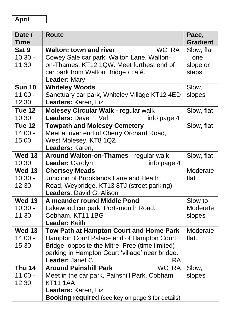#### **April**

| Date /<br><b>Time</b> | <b>Route</b>                                            | Pace,<br><b>Gradient</b> |
|-----------------------|---------------------------------------------------------|--------------------------|
| Sat 9                 | WC RA<br><b>Walton: town and river</b>                  | Slow, flat               |
| $10.30 -$             | Cowey Sale car park, Walton Lane, Walton-               | $-$ one                  |
| 11.30                 | on-Thames, KT12 1QW. Meet furthest end of               | slope or                 |
|                       | car park from Walton Bridge / café.                     | steps                    |
|                       | Leader: Mary                                            |                          |
| <b>Sun 10</b>         | <b>Whiteley Woods</b>                                   | Slow,                    |
| $11.00 -$             | Sanctuary car park, Whiteley Village KT12 4ED           | slopes                   |
| 12.30                 | Leaders: Karen, Liz                                     |                          |
| <b>Tue 12</b>         | <b>Molesey Circular Walk - regular walk</b>             | Slow, flat               |
| 10.30                 | Leaders: Dave F, Val<br>info page 4                     |                          |
| <b>Tue 12</b>         | <b>Towpath and Molesey Cemetery</b>                     | Slow, flat               |
| $14.00 -$             | Meet at river end of Cherry Orchard Road,               |                          |
| 15.00                 | West Molesey, KT8 1QZ                                   |                          |
|                       | Leaders: Karen,                                         |                          |
| <b>Wed 13</b>         | Around Walton-on-Thames - regular walk                  | Slow, flat               |
| 10.30                 | Leader: Carolyn<br>info page 4                          |                          |
| <b>Wed 13</b>         | <b>Chertsey Meads</b>                                   | Moderate                 |
| $10.30 -$             | Junction of Brooklands Lane and Heath                   | flat                     |
| 12.30                 | Road, Weybridge, KT13 8TJ (street parking)              |                          |
| <b>Wed 13</b>         | Leaders: David G, Alison<br>A meander round Middle Pond | Slow to                  |
| $10.30 -$             |                                                         | Moderate                 |
| 11.30                 | Lakewood car park, Portsmouth Road,<br>Cobham, KT11 1BG | slopes                   |
|                       | Leader: Keith                                           |                          |
| <b>Wed 13</b>         | Tow Path at Hampton Court and Home Park                 | Moderate                 |
| $14.00 -$             | Hampton Court Palace end of Hampton Court               | flat.                    |
| 15.30                 | Bridge, opposite the Mitre. Free (time limited)         |                          |
|                       | parking in Hampton Court 'village' near bridge.         |                          |
|                       | Leader: Janet C<br><b>RA</b>                            |                          |
| <b>Thu 14</b>         | WC RA<br><b>Around Painshill Park</b>                   | Slow,                    |
| $11.00 -$             | Meet in the car park, Painshill Park, Cobham            | slopes                   |
| 12.30                 | <b>KT11 1AA</b>                                         |                          |
|                       | Leaders: Karen, Liz                                     |                          |
|                       | <b>Booking required</b> (see key on page 3 for details) |                          |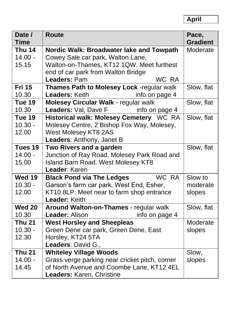| Date /<br><b>Time</b> | <b>Route</b>                                   | Pace,<br><b>Gradient</b> |
|-----------------------|------------------------------------------------|--------------------------|
| <b>Thu 14</b>         | Nordic Walk: Broadwater lake and Towpath       | Moderate                 |
| $14.00 -$             | Cowey Sale car park, Walton Lane,              |                          |
| 15.15                 | Walton-on-Thames, KT12 1QW. Meet furthest      |                          |
|                       | end of car park from Walton Bridge             |                          |
|                       | Leaders: Pam<br>WC RA                          |                          |
| <b>Fri 15</b>         | Thames Path to Molesey Lock -regular walk      | Slow, flat               |
| 10.30                 | Leaders: Keith<br>info on page 4               |                          |
| Tue 19                | <b>Molesey Circular Walk - regular walk</b>    | Slow, flat               |
| 10.30                 | Leaders: Val, Dave F<br>info on page 4         |                          |
| <b>Tue 19</b>         | Historical walk: Molesey Cemetery WC RA        | Slow, flat               |
| $10.30 -$             | Molesey Centre, 2 Bishop Fox Way, Molesey,     |                          |
| 12.00                 | West Molesey KT8 2AS                           |                          |
|                       | Leaders: Anthony, Janet B                      |                          |
| Tues 19               | Two Rivers and a garden                        | Slow, flat               |
| $14.00 -$             | Junction of Ray Road, Molesey Park Road and    |                          |
| 15.00                 | <b>Island Barn Road. West Molesey KT8</b>      |                          |
|                       | Leader: Karen                                  |                          |
| <b>Wed 19</b>         | WC RA<br><b>Black Pond via The Ledges</b>      | Slow to                  |
| $10.30 -$             | Garson's farm car park, West End, Esher,       | moderate                 |
| 12.00                 | KT10 8LP. Meet near to farm shop entrance      | slopes                   |
|                       | <b>Leader: Keith</b>                           |                          |
| <b>Wed 20</b>         | Around Walton-on-Thames - regular walk         | Slow, flat               |
| 10.30                 | info on page 4<br>Leader: Alison               |                          |
| <b>Thu 21</b>         | <b>West Horsley and Sheepleas</b>              | Moderate                 |
| $10.30 -$             | Green Dene car park, Green Dene, East          | slopes                   |
| 12.30                 | Horsley, KT24 5TA                              |                          |
|                       | Leaders: David G.,                             |                          |
| <b>Thu 21</b>         | <b>Whiteley Village Woods</b>                  | Slow,                    |
| $14.00 -$             | Grass verge parking near cricket pitch, corner | slopes                   |
| 14.45                 | of North Avenue and Coombe Lane, KT12 4EL      |                          |
|                       | Leaders: Karen, Christine                      |                          |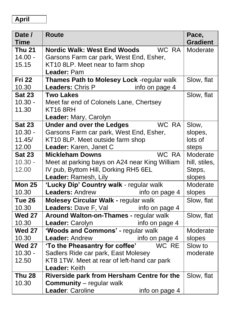#### **April**

| Date /        | <b>Route</b>                                  | Pace,           |
|---------------|-----------------------------------------------|-----------------|
| <b>Time</b>   |                                               | <b>Gradient</b> |
| <b>Thu 21</b> | <b>Nordic Walk: West End Woods</b><br>WC RA   | Moderate        |
| $14.00 -$     | Garsons Farm car park, West End, Esher,       |                 |
| 15.15         | KT10 8LP. Meet near to farm shop              |                 |
|               | Leader: Pam                                   |                 |
| <b>Fri 22</b> | Thames Path to Molesey Lock -regular walk     | Slow, flat      |
| 10.30         | Leaders: Chris P<br>info on page 4            |                 |
| <b>Sat 23</b> | <b>Two Lakes</b>                              | Slow, flat      |
| $10.30 -$     | Meet far end of Colonels Lane, Chertsey       |                 |
| 11.30         | KT168RH                                       |                 |
|               | Leader: Mary, Carolyn                         |                 |
| <b>Sat 23</b> | WC RA<br><b>Under and over the Ledges</b>     | Slow,           |
| $10.30 -$     | Garsons Farm car park, West End, Esher,       | slopes,         |
| 11.45/        | KT10 8LP. Meet outside farm shop              | lots of         |
| 12.00         | Leader: Karen, Janet C                        | steps           |
| <b>Sat 23</b> | WC RA<br><b>Mickleham Downs</b>               | Moderate        |
| $10.30 -$     | Meet at parking bays on A24 near King William | hill, stiles,   |
| 12.00         | IV pub, Byttom Hill, Dorking RH5 6EL          | Steps,          |
|               | Leader: Ramesh, Lily                          | slopes          |
| <b>Mon 25</b> | 'Lucky Dip' Country walk - regular walk       | Moderate        |
| 10.30         | <b>Leaders: Andrew</b><br>info on page 4      | slopes          |
| Tue 26        | <b>Molesey Circular Walk - regular walk</b>   | Slow, flat      |
| 10.30         | Leaders: Dave F, Val<br>info on page 4        |                 |
| <b>Wed 27</b> | Around Walton-on-Thames - regular walk        | Slow, flat      |
| 10.30         | Leader: Carolyn<br>info on page 4             |                 |
| <b>Wed 27</b> | 'Woods and Commons' - regular walk            | Moderate        |
| 10.30         | Leader: Andrew<br>info on page 4              | slopes          |
| <b>Wed 27</b> | 'To the Pheasantry for coffee'<br>WC RE       | Slow to         |
| $10.30 -$     | Sadlers Ride car park, East Molesey           | moderate        |
| 12.50         | KT8 1TW. Meet at rear of left-hand car park   |                 |
|               | Leader: Keith                                 |                 |
| <b>Thu 28</b> | Riverside park from Hersham Centre for the    | Slow, flat      |
| 10.30         | <b>Community</b> – regular walk               |                 |
|               | Leader: Caroline<br>info on page 4            |                 |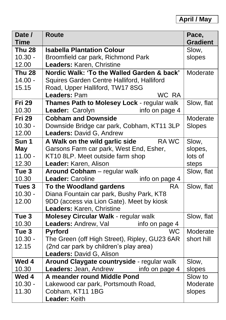| Date /           | <b>Route</b>                                  | Pace,           |
|------------------|-----------------------------------------------|-----------------|
| <b>Time</b>      |                                               | <b>Gradient</b> |
| <b>Thu 28</b>    | <b>Isabella Plantation Colour</b>             | Slow,           |
| $10.30 -$        | Broomfield car park, Richmond Park            | slopes          |
| 12.00            | Leaders: Karen, Christine                     |                 |
| <b>Thu 28</b>    | Nordic Walk: 'To the Walled Garden & back'    | Moderate        |
| $14.00 -$        | Squires Garden Centre Halliford, Halliford    |                 |
| 15.15            | Road, Upper Halliford, TW17 8SG               |                 |
|                  | Leaders: Pam<br>WC RA                         |                 |
| <b>Fri 29</b>    | Thames Path to Molesey Lock - regular walk    | Slow, flat      |
| 10.30            | Leader: Carolyn<br>info on page 4             |                 |
| <b>Fri 29</b>    | <b>Cobham and Downside</b>                    | Moderate        |
| $10.30 -$        | Downside Bridge car park, Cobham, KT11 3LP    | Slopes          |
| 12.00            | Leaders: David G, Andrew                      |                 |
| Sun 1            | A Walk on the wild garlic side<br><b>RAWC</b> | Slow,           |
| <b>May</b>       | Garsons Farm car park, West End, Esher,       | slopes,         |
| $11.00 -$        | KT10 8LP. Meet outside farm shop              | lots of         |
| 12.30            | Leader: Karen, Alison                         | steps           |
| Tue <sub>3</sub> | Around Cobham - regular walk                  | Slow, flat      |
| 10.30            | Leader: Caroline<br>info on page 4            |                 |
| Tues 3           | To the Woodland gardens<br>RA                 | Slow, flat      |
| $10.30 -$        | Diana Fountain car park, Bushy Park, KT8      |                 |
| 12.00            | 9DD (access via Lion Gate). Meet by kiosk     |                 |
|                  | Leaders: Karen, Christine                     |                 |
| Tue <sub>3</sub> | Molesey Circular Walk - regular walk          | Slow, flat      |
| 10.30            | Leaders: Andrew, Val<br>info on page 4        |                 |
| Tue <sub>3</sub> | <b>WC</b><br><b>Pyrford</b>                   | Moderate        |
| $10.30 -$        | The Green (off High Street), Ripley, GU23 6AR | short hill      |
| 12.15            | (2nd car park by children's play area)        |                 |
|                  | Leaders: David G, Alison                      |                 |
| Wed 4            | Around Claygate countryside - regular walk    | Slow,           |
| 10.30            | Leaders: Jean, Andrew<br>info on page 4       | slopes          |
| Wed 4            | A meander round Middle Pond                   | Slow to         |
| $10.30 -$        | Lakewood car park, Portsmouth Road,           | Moderate        |
| 11.30            | Cobham, KT11 1BG                              | slopes          |
|                  | Leader: Keith                                 |                 |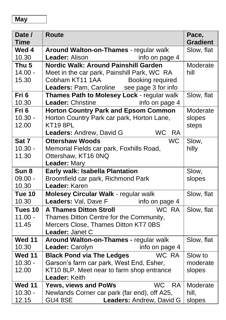| Date /           | <b>Route</b>                                   | Pace,           |
|------------------|------------------------------------------------|-----------------|
| <b>Time</b>      |                                                | <b>Gradient</b> |
| Wed 4            | Around Walton-on-Thames - regular walk         | Slow, flat      |
| 10.30            | Leader: Alison<br>info on page 4               |                 |
| Thu <sub>5</sub> | Nordic Walk: Around Painshill Garden           | Moderate        |
| $14.00 -$        | Meet in the car park, Painshill Park, WC RA    | hill            |
| 15.30            | Cobham KT11 1AA<br>Booking required            |                 |
|                  | Leaders: Pam, Caroline see page 3 for info     |                 |
| Fri <sub>6</sub> | Thames Path to Molesey Lock - regular walk     | Slow, flat      |
| 10.30            | Leader: Christine<br>info on page 4            |                 |
| Fri <sub>6</sub> | <b>Horton Country Park and Epsom Common</b>    | Moderate        |
| $10.30 -$        | Horton Country Park car park, Horton Lane,     | slopes          |
| 12.00            | <b>KT19 8PL</b>                                | steps           |
|                  | WC RA<br>Leaders: Andrew, David G              |                 |
| Sat 7            | <b>WC</b><br><b>Ottershaw Woods</b>            | Slow,           |
| $10.30 -$        | Memorial Fields car park, Foxhills Road,       | hilly           |
| 11.30            | Ottershaw, KT16 0NQ                            |                 |
|                  | Leader: Mary                                   |                 |
| Sun <sub>8</sub> | Early walk: Isabella Plantation                | Slow,           |
| $09.00 -$        | Broomfield car park, Richmond Park             | slopes          |
| 10.30            | Leader: Karen                                  |                 |
| Tue 10           | <b>Molesey Circular Walk - regular walk</b>    | Slow, flat      |
| 10.30            | Leaders: Val, Dave F<br>info on page 4         |                 |
| Tues 10          | WC RA<br><b>A Thames Ditton Stroll</b>         | Slow, flat      |
| $11.00 -$        | Thames Ditton Centre for the Community,        |                 |
| 11.45            | Mercers Close, Thames Ditton KT7 0BS           |                 |
|                  | Leader: Janet C                                |                 |
| <b>Wed 11</b>    | Around Walton-on-Thames - regular walk         | Slow, flat      |
| 10.30            | info on page 4<br>Leader: Carolyn              |                 |
| <b>Wed 11</b>    | <b>Black Pond via The Ledges</b><br>WC RA      | Slow to         |
| $10.30 -$        | Garson's farm car park, West End, Esher,       | moderate        |
| 12.00            | KT10 8LP. Meet near to farm shop entrance      | slopes          |
|                  | Leader: Keith                                  |                 |
| <b>Wed 11</b>    | <b>WC</b><br>Yews, views and PoWs<br><b>RA</b> | Moderate        |
| $10.30 -$        | Newlands Corner car park (far end), off A25,   | hill,           |
| 12.15            | <b>GU4 8SE</b><br>Leaders: Andrew, David G     | slopes          |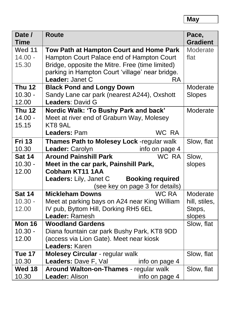**May**

| Date /<br><b>Time</b> | <b>Route</b>                                      | Pace,<br><b>Gradient</b> |
|-----------------------|---------------------------------------------------|--------------------------|
| <b>Wed 11</b>         | Tow Path at Hampton Court and Home Park           | Moderate                 |
| $14.00 -$             | Hampton Court Palace end of Hampton Court         | flat                     |
| 15.30                 | Bridge, opposite the Mitre. Free (time limited)   |                          |
|                       | parking in Hampton Court 'village' near bridge.   |                          |
|                       | Leader: Janet C<br><b>RA</b>                      |                          |
| <b>Thu 12</b>         | <b>Black Pond and Longy Down</b>                  | Moderate                 |
| $10.30 -$             | Sandy Lane car park (nearest A244), Oxshott       | <b>Slopes</b>            |
| 12.00                 | Leaders: David G                                  |                          |
| <b>Thu 12</b>         | Nordic Walk: 'To Bushy Park and back'             | Moderate                 |
| $14.00 -$             | Meet at river end of Graburn Way, Molesey         |                          |
| 15.15                 | KT8 9AL                                           |                          |
|                       | WC RA<br>Leaders: Pam                             |                          |
| <b>Fri 13</b>         | Thames Path to Molesey Lock -regular walk         | Slow, flat               |
| 10.30                 | info on page 4<br>Leader: Carolyn                 |                          |
| <b>Sat 14</b>         | WC RA<br><b>Around Painshill Park</b>             | Slow,                    |
| $10.30 -$             | Meet in the car park, Painshill Park,             | slopes                   |
| 12.00                 | <b>Cobham KT11 1AA</b>                            |                          |
|                       | <b>Booking required</b><br>Leaders: Lily, Janet C |                          |
|                       | (see key on page 3 for details)                   |                          |
| <b>Sat 14</b>         | WC RA<br><b>Mickleham Downs</b>                   | Moderate                 |
| $10.30 -$             | Meet at parking bays on A24 near King William     | hill, stiles,            |
| 12.00                 | IV pub, Byttom Hill, Dorking RH5 6EL              | Steps,                   |
|                       | Leader: Ramesh                                    | slopes                   |
| <b>Mon 16</b>         | <b>Woodland Gardens</b>                           | Slow, flat               |
| $10.30 -$             | Diana fountain car park Bushy Park, KT8 9DD       |                          |
| 12.00                 | (access via Lion Gate). Meet near kiosk           |                          |
|                       | Leaders: Karen                                    |                          |
| Tue 17                | Molesey Circular - regular walk                   | Slow, flat               |
| 10.30                 | Leaders: Dave F, Val<br>info on page 4            |                          |
| Wed 18                | Around Walton-on-Thames - regular walk            | Slow, flat               |
| 10.30                 | <b>Leader: Alison</b><br>info on page 4           |                          |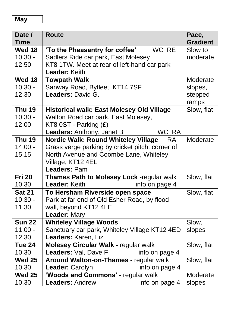#### **May**

| Date /<br><b>Time</b> | <b>Route</b>                                            | Pace,<br><b>Gradient</b> |
|-----------------------|---------------------------------------------------------|--------------------------|
| Wed 18                | WC RE<br>'To the Pheasantry for coffee'                 | Slow to                  |
| $10.30 -$             | Sadlers Ride car park, East Molesey                     | moderate                 |
| 12.50                 | KT8 1TW. Meet at rear of left-hand car park             |                          |
|                       | Leader: Keith                                           |                          |
| <b>Wed 18</b>         | <b>Towpath Walk</b>                                     | Moderate                 |
| $10.30 -$             | Sanway Road, Byfleet, KT14 7SF                          | slopes,                  |
| 12.30                 | Leaders: David G.                                       | stepped                  |
|                       |                                                         | ramps                    |
| <b>Thu 19</b>         | <b>Historical walk: East Molesey Old Village</b>        | Slow, flat               |
| $10.30 -$             | Walton Road car park, East Molesey,                     |                          |
| 12.00                 | KT8 0ST - Parking (£)                                   |                          |
|                       | WC RA<br>Leaders: Anthony, Janet B                      |                          |
| <b>Thu 19</b>         | <b>Nordic Walk: Round Whiteley Village</b><br><b>RA</b> | Moderate                 |
| $14.00 -$             | Grass verge parking by cricket pitch, corner of         |                          |
| 15.15                 | North Avenue and Coombe Lane, Whiteley                  |                          |
|                       | Village, KT12 4EL                                       |                          |
|                       | Leaders: Pam                                            |                          |
| <b>Fri 20</b>         | Thames Path to Molesey Lock -regular walk               | Slow, flat               |
| 10.30                 | Leader: Keith<br>info on page 4                         |                          |
| <b>Sat 21</b>         | To Hersham Riverside open space                         | Slow, flat               |
| $10.30 -$             | Park at far end of Old Esher Road, by flood             |                          |
| 11.30                 | wall, beyond KT12 4LE                                   |                          |
|                       | Leader: Mary                                            |                          |
| <b>Sun 22</b>         | <b>Whiteley Village Woods</b>                           | Slow,                    |
| $11.00 -$             | Sanctuary car park, Whiteley Village KT12 4ED           | slopes                   |
| 12.30                 | Leaders: Karen, Liz                                     |                          |
| Tue 24                | Molesey Circular Walk - regular walk                    | Slow, flat               |
| 10.30                 | Leaders: Val, Dave F<br>info on page 4                  |                          |
| <b>Wed 25</b>         | Around Walton-on-Thames - regular walk                  | Slow, flat               |
| 10.30                 | Leader: Carolyn<br>info on page 4                       |                          |
| <b>Wed 25</b>         | 'Woods and Commons' - regular walk                      | Moderate                 |
| 10.30                 | <b>Leaders: Andrew</b><br>info on page 4                | slopes                   |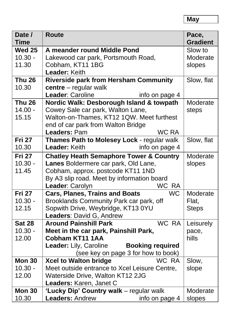**May**

| Date /<br><b>Time</b> | <b>Route</b>                                                                  | Pace,<br><b>Gradient</b> |
|-----------------------|-------------------------------------------------------------------------------|--------------------------|
| <b>Wed 25</b>         | A meander round Middle Pond                                                   | Slow to                  |
| $10.30 -$             | Lakewood car park, Portsmouth Road,                                           | Moderate                 |
| 11.30                 | Cobham, KT11 1BG                                                              | slopes                   |
|                       | Leader: Keith                                                                 |                          |
| <b>Thu 26</b>         | <b>Riverside park from Hersham Community</b>                                  | Slow, flat               |
| 10.30                 | $centre - regular walk$                                                       |                          |
|                       | Leader: Caroline<br>info on page 4                                            |                          |
| <b>Thu 26</b>         | Nordic Walk: Desborough Island & towpath                                      | Moderate                 |
| $14.00 -$             | Cowey Sale car park, Walton Lane,                                             | steps                    |
| 15.15                 | Walton-on-Thames, KT12 1QW. Meet furthest                                     |                          |
|                       | end of car park from Walton Bridge                                            |                          |
|                       | <b>WC RA</b><br>Leaders: Pam                                                  |                          |
| <b>Fri 27</b>         | Thames Path to Molesey Lock - regular walk                                    | Slow, flat               |
| 10.30                 | Leader: Keith<br>info on page 4                                               |                          |
| <b>Fri 27</b>         | <b>Chatley Heath Semaphore Tower &amp; Country</b>                            | Moderate                 |
| $10.30 -$             | Lanes Boldermere car park, Old Lane,                                          | slopes                   |
| 11.45                 | Cobham, approx. postcode KT11 1ND                                             |                          |
|                       | By A3 slip road. Meet by information board                                    |                          |
| <b>Fri 27</b>         | WC RA<br>Leader: Carolyn                                                      |                          |
|                       | <b>Cars, Planes, Trains and Boats</b><br><b>WC</b>                            | Moderate                 |
| $10.30 -$<br>12.15    | Brooklands Community Park car park, off<br>Sopwith Drive, Weybridge, KT13 0YU | Flat,                    |
|                       | Leaders: David G, Andrew                                                      | <b>Steps</b>             |
| <b>Sat 28</b>         | <b>WC RA</b><br><b>Around Painshill Park</b>                                  | Leisurely                |
| $10.30 -$             | Meet in the car park, Painshill Park,                                         | pace,                    |
| 12.00                 | Cobham KT11 1AA                                                               | hills                    |
|                       | Leader: Lily, Caroline<br><b>Booking required</b>                             |                          |
|                       | (see key on page 3 for how to book)                                           |                          |
| <b>Mon 30</b>         | <b>Xcel to Walton bridge</b><br>WC RA                                         | Slow,                    |
| $10.30 -$             | Meet outside entrance to Xcel Leisure Centre,                                 | slope                    |
| 12.00                 | Waterside Drive, Walton KT12 2JG                                              |                          |
|                       | Leaders: Karen, Janet C                                                       |                          |
| <b>Mon 30</b>         | 'Lucky Dip' Country walk - regular walk                                       | Moderate                 |
| 10.30                 | <b>Leaders: Andrew</b><br>info on page 4                                      | slopes                   |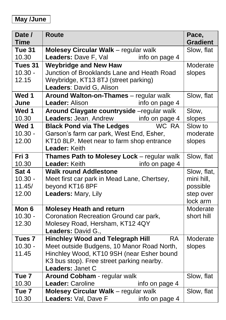#### **May /June**

| Date /            | <b>Route</b>                                         | Pace,           |
|-------------------|------------------------------------------------------|-----------------|
| <b>Time</b>       |                                                      | <b>Gradient</b> |
| Tue 31            | <b>Molesey Circular Walk</b> - regular walk          | Slow, flat      |
| 10.30             | Leaders: Dave F, Val<br>info on page 4               |                 |
| Tues 31           | <b>Weybridge and New Haw</b>                         | Moderate        |
| $10.30 -$         | Junction of Brooklands Lane and Heath Road           | slopes          |
| 12.15             | Weybridge, KT13 8TJ (street parking)                 |                 |
|                   | Leaders: David G, Alison                             |                 |
| Wed 1             | Around Walton-on-Thames - regular walk               | Slow, flat      |
| June              | <b>Leader: Alison</b><br>info on page 4              |                 |
| Wed 1             | Around Claygate countryside -regular walk            | Slow,           |
| 10.30             | <b>Leaders:</b> Jean, Andrew info on page 4          | slopes          |
| Wed 1             | <b>Black Pond via The Ledges</b><br>WC RA            | Slow to         |
| $10.30 -$         | Garson's farm car park, West End, Esher,             | moderate        |
| 12.00             | KT10 8LP. Meet near to farm shop entrance            | slopes          |
|                   | Leader: Keith                                        |                 |
| Fri 3             | Thames Path to Molesey Lock - regular walk           | Slow, flat      |
| 10.30             | Leader: Keith<br>info on page 4                      |                 |
| Sat 4             | <b>Walk round Addlestone</b>                         | Slow, flat,     |
| $10.30 -$         | Meet first car park in Mead Lane, Chertsey,          | mini hill,      |
| 11.45/            | beyond KT16 8PF                                      | possible        |
| 12.00             | Leaders: Mary, Lily                                  | step over       |
|                   |                                                      | lock arm        |
| Mon 6             | <b>Molesey Heath and return</b>                      | Moderate        |
| $10.30 -$         | Coronation Recreation Ground car park,               | short hill      |
| 12.30             | Molesey Road, Hersham, KT12 4QY                      |                 |
|                   | Leaders: David G.,                                   |                 |
| Tues <sub>7</sub> | <b>Hinchley Wood and Telegraph Hill</b><br><b>RA</b> | Moderate        |
| $10.30 -$         | Meet outside Budgens, 10 Manor Road North,           | slopes          |
| 11.45             | Hinchley Wood, KT10 9SH (near Esher bound            |                 |
|                   | K3 bus stop). Free street parking nearby.            |                 |
|                   | Leaders: Janet C                                     |                 |
| Tue <sub>7</sub>  | Around Cobham - regular walk                         | Slow, flat      |
| 10.30             | Leader: Caroline<br>info on page 4                   |                 |
| Tue <sub>7</sub>  | Molesey Circular Walk - regular walk                 | Slow, flat      |
| 10.30             | Leaders: Val, Dave F<br>info on page 4               |                 |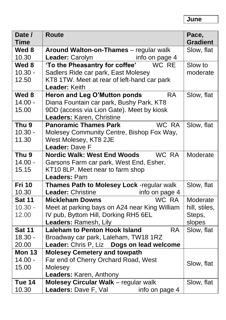| Date /<br><b>Time</b> | <b>Route</b>                                                 | Pace,                         |
|-----------------------|--------------------------------------------------------------|-------------------------------|
| Wed 8                 |                                                              | <b>Gradient</b><br>Slow, flat |
|                       | Around Walton-on-Thames - regular walk                       |                               |
| 10.30                 | info on page 4<br>Leader: Carolyn<br>WC RE                   |                               |
| Wed 8                 | 'To the Pheasantry for coffee'                               | Slow to                       |
| $10.30 -$             | Sadlers Ride car park, East Molesey                          | moderate                      |
| 12.50                 | KT8 1TW. Meet at rear of left-hand car park<br>Leader: Keith |                               |
| Wed 8                 | Heron and Leg O'Mutton ponds<br><b>RA</b>                    | Slow, flat                    |
| $14.00 -$             | Diana Fountain car park, Bushy Park, KT8                     |                               |
| 15.00                 | 9DD (access via Lion Gate). Meet by kiosk                    |                               |
|                       | Leaders: Karen, Christine                                    |                               |
| Thu <sub>9</sub>      | WC RA<br><b>Panoramic Thames Park</b>                        | Slow, flat                    |
| $10.30 -$             | Molesey Community Centre, Bishop Fox Way,                    |                               |
| 11.30                 | West Molesey, KT8 2JE                                        |                               |
|                       | Leader: Dave F                                               |                               |
| Thu <sub>9</sub>      | <b>Nordic Walk: West End Woods</b><br>WC RA                  | Moderate                      |
| $14.00 -$             | Garsons Farm car park, West End, Esher,                      |                               |
| 15.15                 | KT10 8LP. Meet near to farm shop                             |                               |
|                       | Leaders: Pam                                                 |                               |
| <b>Fri 10</b>         | Thames Path to Molesey Lock -regular walk                    | Slow, flat                    |
| 10.30                 | <b>Leader: Christine</b><br>info on page 4                   |                               |
| <b>Sat 11</b>         | <b>WC RA</b><br><b>Mickleham Downs</b>                       | Moderate                      |
| $10.30 -$             | Meet at parking bays on A24 near King William                | hill, stiles,                 |
| 12.00                 | IV pub, Byttom Hill, Dorking RH5 6EL                         | Steps,                        |
|                       | Leaders: Ramesh, Lily                                        | slopes                        |
| <b>Sat 11</b>         | <b>Laleham to Penton Hook Island</b><br><b>RA</b>            | Slow, flat                    |
| $18.30 -$             | Broadway car park, Laleham, TW18 1RZ                         |                               |
| 20.00                 | Leader: Chris P, Liz Dogs on lead welcome                    |                               |
| <b>Mon 13</b>         | <b>Molesey Cemetery and towpath</b>                          |                               |
| $14.00 -$             | Far end of Cherry Orchard Road, West                         |                               |
| 15.00                 | Molesey                                                      | Slow, flat                    |
|                       | Leaders: Karen, Anthony                                      |                               |
| Tue 14                | <b>Molesey Circular Walk</b> - regular walk                  | Slow, flat                    |
| 10.30                 | Leaders: Dave F, Val<br>info on page 4                       |                               |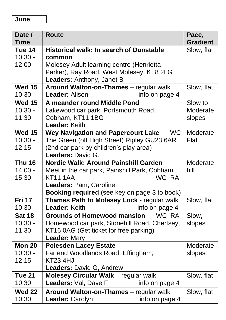| Date /        | <b>Route</b>                                           | Pace,           |
|---------------|--------------------------------------------------------|-----------------|
| <b>Time</b>   |                                                        | <b>Gradient</b> |
| Tue 14        | <b>Historical walk: In search of Dunstable</b>         | Slow, flat      |
| $10.30 -$     | common                                                 |                 |
| 12.00         | Molesey Adult learning centre (Henrietta               |                 |
|               | Parker), Ray Road, West Molesey, KT8 2LG               |                 |
|               | Leaders: Anthony, Janet B                              |                 |
| <b>Wed 15</b> | Around Walton-on-Thames - regular walk                 | Slow, flat      |
| 10.30         | Leader: Alison<br>info on page 4                       |                 |
| <b>Wed 15</b> | A meander round Middle Pond                            | Slow to         |
| $10.30 -$     | Lakewood car park, Portsmouth Road,                    | Moderate        |
| 11.30         | Cobham, KT11 1BG                                       | slopes          |
|               | Leader: Keith                                          |                 |
| <b>Wed 15</b> | <b>Wey Navigation and Papercourt Lake</b><br><b>WC</b> | Moderate        |
| $10.30 -$     | The Green (off High Street) Ripley GU23 6AR            | Flat            |
| 12.15         | (2nd car park by children's play area)                 |                 |
|               | Leaders: David G.                                      |                 |
| <b>Thu 16</b> | Nordic Walk: Around Painshill Garden                   | Moderate        |
| $14.00 -$     | Meet in the car park, Painshill Park, Cobham           | hill            |
| 15.30         | WC RA<br><b>KT11 1AA</b>                               |                 |
|               | Leaders: Pam, Caroline                                 |                 |
|               | Booking required (see key on page 3 to book)           |                 |
| <b>Fri 17</b> | Thames Path to Molesey Lock - regular walk             | Slow, flat      |
| 10.30         | Leader: Keith<br>info on page 4                        |                 |
| <b>Sat 18</b> | <b>Grounds of Homewood mansion</b><br>WC RA            | Slow,           |
| $10.30 -$     | Homewood car park, Stonehill Road, Chertsey,           | slopes          |
| 11.30         | KT16 0AG (Get ticket for free parking)                 |                 |
|               | Leader: Mary                                           |                 |
| <b>Mon 20</b> | <b>Polesden Lacey Estate</b>                           | Moderate        |
| $10.30 -$     | Far end Woodlands Road, Effingham,                     | slopes          |
| 12.15         | KT23 4HJ                                               |                 |
|               | Leaders: David G, Andrew                               |                 |
| <b>Tue 21</b> | Molesey Circular Walk - regular walk                   | Slow, flat      |
| 10.30         | Leaders: Val, Dave F<br>info on page 4                 |                 |
| <b>Wed 22</b> | Around Walton-on-Thames - regular walk                 | Slow, flat      |
| 10.30         | Leader: Carolyn<br>info on page 4                      |                 |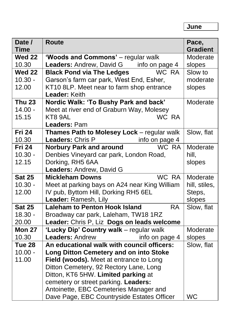| Date /<br><b>Time</b> | <b>Route</b>                                      | Pace,<br><b>Gradient</b> |
|-----------------------|---------------------------------------------------|--------------------------|
| <b>Wed 22</b>         | 'Woods and Commons' - regular walk                | Moderate                 |
| 10.30                 | <b>Leaders: Andrew, David G</b><br>info on page 4 | slopes                   |
| <b>Wed 22</b>         | WC RA<br><b>Black Pond via The Ledges</b>         | Slow to                  |
| $10.30 -$             | Garson's farm car park, West End, Esher,          | moderate                 |
| 12.00                 | KT10 8LP. Meet near to farm shop entrance         | slopes                   |
|                       | Leader: Keith                                     |                          |
| <b>Thu 23</b>         | Nordic Walk: 'To Bushy Park and back'             | Moderate                 |
| $14.00 -$             | Meet at river end of Graburn Way, Molesey         |                          |
| 15.15                 | WC RA<br>KT8 9AL                                  |                          |
|                       | Leaders: Pam                                      |                          |
| <b>Fri 24</b>         | Thames Path to Molesey Lock - regular walk        | Slow, flat               |
| 10.30                 | Leaders: Chris P<br>info on page 4                |                          |
| <b>Fri 24</b>         | WC RA<br><b>Norbury Park and around</b>           | Moderate                 |
| $10.30 -$             | Denbies Vineyard car park, London Road,           | hill,                    |
| 12.15                 | Dorking, RH5 6AA                                  | slopes                   |
|                       | Leaders: Andrew, David G                          |                          |
| <b>Sat 25</b>         | WC RA<br><b>Mickleham Downs</b>                   | Moderate                 |
| $10.30 -$             | Meet at parking bays on A24 near King William     | hill, stiles,            |
| 12.00                 | IV pub, Byttom Hill, Dorking RH5 6EL              | Steps,                   |
|                       | Leader: Ramesh, Lily                              | slopes                   |
| <b>Sat 25</b>         | <b>Laleham to Penton Hook Island</b><br><b>RA</b> | Slow, flat               |
| $18.30 -$             | Broadway car park, Laleham, TW18 1RZ              |                          |
| 20.00                 | Leader: Chris P, Liz Dogs on leads welcome        |                          |
| <b>Mon 27</b>         | 'Lucky Dip' Country walk - regular walk           | Moderate                 |
| 10.30                 | <b>Leaders: Andrew</b><br>info on page 4          | slopes                   |
| Tue 28                | An educational walk with council officers:        | Slow, flat               |
| $10.00 -$             | <b>Long Ditton Cemetery and on into Stoke</b>     |                          |
| 11.00                 | Field (woods). Meet at entrance to Long           |                          |
|                       | Ditton Cemetery, 92 Rectory Lane, Long            |                          |
|                       | Ditton, KT6 5HW. Limited parking at               |                          |
|                       | cemetery or street parking. Leaders:              |                          |
|                       | Antoinette, EBC Cemeteries Manager and            |                          |
|                       | Dave Page, EBC Countryside Estates Officer        | <b>WC</b>                |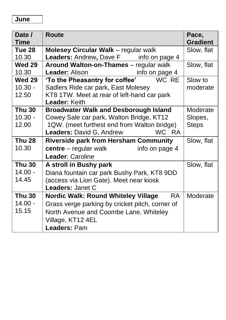| Date /        | <b>Route</b>                                     | Pace,           |
|---------------|--------------------------------------------------|-----------------|
| <b>Time</b>   |                                                  | <b>Gradient</b> |
| Tue 28        | <b>Molesey Circular Walk</b> – regular walk      | Slow, flat      |
| 10.30         | Leaders: Andrew, Dave F __ info on page 4        |                 |
| <b>Wed 29</b> | Around Walton-on-Thames - regular walk           | Slow, flat      |
| 10.30         | Leader: Alison<br>info on page 4                 |                 |
| <b>Wed 29</b> | 'To the Pheasantry for coffee' WC RE             | Slow to         |
| $10.30 -$     | Sadlers Ride car park, East Molesey              | moderate        |
| 12.50         | KT8 1TW. Meet at rear of left-hand car park      |                 |
|               | Leader: Keith                                    |                 |
| <b>Thu 30</b> | <b>Broadwater Walk and Desborough Island</b>     | Moderate        |
| $10.30 -$     | Cowey Sale car park, Walton Bridge, KT12         | Slopes,         |
| 12.00         | 1QW. (meet furthest end from Walton bridge)      | <b>Steps</b>    |
|               | <b>Leaders: David G, Andrew</b><br>WC RA         |                 |
| <b>Thu 28</b> | <b>Riverside park from Hersham Community</b>     | Slow, flat      |
| 10.30         | $centre - regular walk$ info on page 4           |                 |
|               | Leader: Caroline                                 |                 |
| <b>Thu 30</b> | A stroll in Bushy park                           | Slow, flat      |
| $14.00 -$     | Diana fountain car park Bushy Park, KT8 9DD      |                 |
| 14.45         | (access via Lion Gate). Meet near kiosk          |                 |
|               | Leaders: Janet C                                 |                 |
| <b>Thu 30</b> | Nordic Walk: Round Whiteley Village<br><b>RA</b> | Moderate        |
| $14.00 -$     | Grass verge parking by cricket pitch, corner of  |                 |
| 15.15         | North Avenue and Coombe Lane, Whiteley           |                 |
|               | Village, KT12 4EL                                |                 |
|               | Leaders: Pam                                     |                 |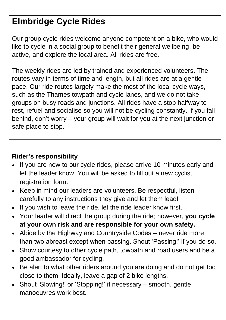### **Elmbridge Cycle Rides**

Our group cycle rides welcome anyone competent on a bike, who would like to cycle in a social group to benefit their general wellbeing, be active, and explore the local area. All rides are free.

The weekly rides are led by trained and experienced volunteers. The routes vary in terms of time and length, but all rides are at a gentle pace. Our ride routes largely make the most of the local cycle ways, such as the Thames towpath and cycle lanes, and we do not take groups on busy roads and junctions. All rides have a stop halfway to rest, refuel and socialise so you will not be cycling constantly. If you fall behind, don't worry – your group will wait for you at the next junction or safe place to stop.

#### **Rider's responsibility**

- If you are new to our cycle rides, please arrive 10 minutes early and let the leader know. You will be asked to fill out a new cyclist registration form.
- Keep in mind our leaders are volunteers. Be respectful, listen carefully to any instructions they give and let them lead!
- If you wish to leave the ride, let the ride leader know first.
- Your leader will direct the group during the ride; however, **you cycle at your own risk and are responsible for your own safety.**
- Abide by the Highway and Countryside Codes never ride more than two abreast except when passing. Shout 'Passing!' if you do so.
- Show courtesy to other cycle path, towpath and road users and be a good ambassador for cycling.
- Be alert to what other riders around you are doing and do not get too close to them. Ideally, leave a gap of 2 bike lengths.
- Shout 'Slowing!' or 'Stopping!' if necessary smooth, gentle manoeuvres work best.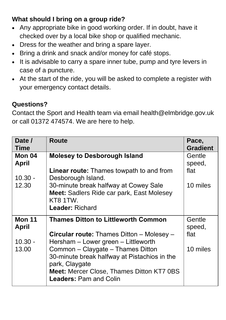#### **What should I bring on a group ride?**

- Any appropriate bike in good working order. If in doubt, have it checked over by a local bike shop or qualified mechanic.
- Dress for the weather and bring a spare layer.
- Bring a drink and snack and/or money for café stops.
- It is advisable to carry a spare inner tube, pump and tyre levers in case of a puncture.
- At the start of the ride, you will be asked to complete a register with your emergency contact details.

#### **Questions?**

Contact the Sport and Health team via email [health@elmbridge.gov.uk](mailto:health@elmbridge.gov.uk) or call 01372 474574. We are here to help.

| <b>Route</b>                                     | Pace,<br><b>Gradient</b>                                                                                                                       |
|--------------------------------------------------|------------------------------------------------------------------------------------------------------------------------------------------------|
| <b>Molesey to Desborough Island</b>              | Gentle                                                                                                                                         |
|                                                  | speed,                                                                                                                                         |
| <b>Linear route:</b> Thames towpath to and from  | flat                                                                                                                                           |
|                                                  |                                                                                                                                                |
|                                                  | 10 miles                                                                                                                                       |
|                                                  |                                                                                                                                                |
|                                                  |                                                                                                                                                |
|                                                  |                                                                                                                                                |
| <b>Thames Ditton to Littleworth Common</b>       | Gentle                                                                                                                                         |
|                                                  | speed,                                                                                                                                         |
| <b>Circular route:</b> Thames Ditton – Molesey – | flat                                                                                                                                           |
| Hersham – Lower green – Littleworth              |                                                                                                                                                |
| Common - Claygate - Thames Ditton                | 10 miles                                                                                                                                       |
| 30-minute break halfway at Pistachios in the     |                                                                                                                                                |
| park, Claygate                                   |                                                                                                                                                |
| <b>Meet: Mercer Close, Thames Ditton KT7 0BS</b> |                                                                                                                                                |
| <b>Leaders: Pam and Colin</b>                    |                                                                                                                                                |
|                                                  | Desborough Island.<br>30-minute break halfway at Cowey Sale<br>Meet: Sadlers Ride car park, East Molesey<br>KT8 1TW.<br><b>Leader: Richard</b> |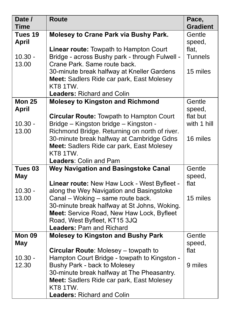| Date /<br><b>Time</b>         | <b>Route</b>                                                                                                                                                                                      | Pace,<br><b>Gradient</b> |
|-------------------------------|---------------------------------------------------------------------------------------------------------------------------------------------------------------------------------------------------|--------------------------|
| Tues 19<br><b>April</b>       | <b>Molesey to Crane Park via Bushy Park.</b>                                                                                                                                                      | Gentle<br>speed,         |
| $10.30 -$<br>13.00            | <b>Linear route: Towpath to Hampton Court</b><br>Bridge - across Bushy park - through Fulwell -<br>Crane Park, Same route back.                                                                   | flat.<br><b>Tunnels</b>  |
|                               | 30-minute break halfway at Kneller Gardens<br><b>Meet:</b> Sadlers Ride car park, East Molesey<br>KT8 1TW.<br><b>Leaders: Richard and Colin</b>                                                   | 15 miles                 |
| <b>Mon 25</b><br><b>April</b> | <b>Molesey to Kingston and Richmond</b>                                                                                                                                                           | Gentle<br>speed,         |
| $10.30 -$<br>13.00            | <b>Circular Route: Towpath to Hampton Court</b><br>Bridge - Kingston bridge - Kingston -<br>Richmond Bridge. Returning on north of river.                                                         | flat but<br>with 1 hill  |
|                               | 30-minute break halfway at Cambridge Gdns<br>Meet: Sadlers Ride car park, East Molesey<br>KT8 1TW.                                                                                                | 16 miles                 |
|                               | Leaders: Colin and Pam                                                                                                                                                                            |                          |
| Tues <sub>03</sub>            | <b>Wey Navigation and Basingstoke Canal</b>                                                                                                                                                       | Gentle                   |
| May                           |                                                                                                                                                                                                   | speed,<br>flat           |
| $10.30 -$                     | Linear route: New Haw Lock - West Byfleet -<br>along the Wey Navigation and Basingstoke                                                                                                           |                          |
| 13.00                         | Canal - Woking - same route back.<br>30-minute break halfway at St Johns, Woking.<br>Meet: Service Road, New Haw Lock, Byfleet<br>Road, West Byfleet, KT15 3JQ<br><b>Leaders: Pam and Richard</b> | 15 miles                 |
| Mon 09                        | <b>Molesey to Kingston and Bushy Park</b>                                                                                                                                                         | Gentle                   |
| May                           |                                                                                                                                                                                                   | speed,                   |
| $10.30 -$                     | <b>Circular Route: Molesey - towpath to</b>                                                                                                                                                       | flat                     |
| 12.30                         | Hampton Court Bridge - towpath to Kingston -<br>Bushy Park - back to Molesey                                                                                                                      | 9 miles                  |
|                               | 30-minute break halfway at The Pheasantry.                                                                                                                                                        |                          |
|                               | Meet: Sadlers Ride car park, East Molesey<br>KT8 1TW.                                                                                                                                             |                          |
|                               | <b>Leaders: Richard and Colin</b>                                                                                                                                                                 |                          |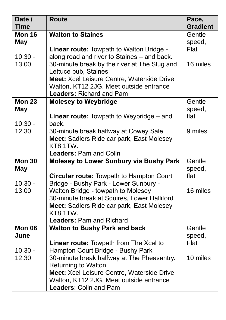| Date /                                                                     | <b>Route</b>                                                                                                                                                                                                                                                                                                                                                                                                                                   | Pace,                                                    |
|----------------------------------------------------------------------------|------------------------------------------------------------------------------------------------------------------------------------------------------------------------------------------------------------------------------------------------------------------------------------------------------------------------------------------------------------------------------------------------------------------------------------------------|----------------------------------------------------------|
| <b>Time</b>                                                                |                                                                                                                                                                                                                                                                                                                                                                                                                                                | <b>Gradient</b>                                          |
| <b>Mon 16</b>                                                              | <b>Walton to Staines</b>                                                                                                                                                                                                                                                                                                                                                                                                                       | Gentle                                                   |
| May                                                                        |                                                                                                                                                                                                                                                                                                                                                                                                                                                | speed,                                                   |
|                                                                            | <b>Linear route:</b> Towpath to Walton Bridge -                                                                                                                                                                                                                                                                                                                                                                                                | Flat                                                     |
| $10.30 -$                                                                  | along road and river to Staines - and back.                                                                                                                                                                                                                                                                                                                                                                                                    |                                                          |
| 13.00                                                                      | 30-minute break by the river at The Slug and                                                                                                                                                                                                                                                                                                                                                                                                   | 16 miles                                                 |
|                                                                            | Lettuce pub, Staines                                                                                                                                                                                                                                                                                                                                                                                                                           |                                                          |
|                                                                            | Meet: Xcel Leisure Centre, Waterside Drive,                                                                                                                                                                                                                                                                                                                                                                                                    |                                                          |
|                                                                            | Walton, KT12 2JG. Meet outside entrance                                                                                                                                                                                                                                                                                                                                                                                                        |                                                          |
|                                                                            | <b>Leaders: Richard and Pam</b>                                                                                                                                                                                                                                                                                                                                                                                                                |                                                          |
| <b>Mon 23</b>                                                              | <b>Molesey to Weybridge</b>                                                                                                                                                                                                                                                                                                                                                                                                                    | Gentle                                                   |
| May                                                                        |                                                                                                                                                                                                                                                                                                                                                                                                                                                | speed,<br>flat                                           |
| $10.30 -$                                                                  | <b>Linear route:</b> Towpath to Weybridge $-$ and<br>back.                                                                                                                                                                                                                                                                                                                                                                                     |                                                          |
| 12.30                                                                      | 30-minute break halfway at Cowey Sale                                                                                                                                                                                                                                                                                                                                                                                                          | 9 miles                                                  |
|                                                                            | Meet: Sadlers Ride car park, East Molesey                                                                                                                                                                                                                                                                                                                                                                                                      |                                                          |
|                                                                            | KT8 1TW.                                                                                                                                                                                                                                                                                                                                                                                                                                       |                                                          |
|                                                                            |                                                                                                                                                                                                                                                                                                                                                                                                                                                |                                                          |
|                                                                            |                                                                                                                                                                                                                                                                                                                                                                                                                                                |                                                          |
|                                                                            |                                                                                                                                                                                                                                                                                                                                                                                                                                                |                                                          |
|                                                                            | <b>Circular route: Towpath to Hampton Court</b>                                                                                                                                                                                                                                                                                                                                                                                                | flat                                                     |
| $10.30 -$                                                                  | Bridge - Bushy Park - Lower Sunbury -                                                                                                                                                                                                                                                                                                                                                                                                          |                                                          |
| 13.00                                                                      | Walton Bridge - towpath to Molesey                                                                                                                                                                                                                                                                                                                                                                                                             | 16 miles                                                 |
|                                                                            | 30-minute break at Squires, Lower Halliford                                                                                                                                                                                                                                                                                                                                                                                                    |                                                          |
|                                                                            | Meet: Sadlers Ride car park, East Molesey                                                                                                                                                                                                                                                                                                                                                                                                      |                                                          |
|                                                                            |                                                                                                                                                                                                                                                                                                                                                                                                                                                |                                                          |
|                                                                            |                                                                                                                                                                                                                                                                                                                                                                                                                                                |                                                          |
|                                                                            |                                                                                                                                                                                                                                                                                                                                                                                                                                                |                                                          |
|                                                                            |                                                                                                                                                                                                                                                                                                                                                                                                                                                |                                                          |
|                                                                            |                                                                                                                                                                                                                                                                                                                                                                                                                                                |                                                          |
|                                                                            |                                                                                                                                                                                                                                                                                                                                                                                                                                                |                                                          |
|                                                                            |                                                                                                                                                                                                                                                                                                                                                                                                                                                |                                                          |
|                                                                            |                                                                                                                                                                                                                                                                                                                                                                                                                                                |                                                          |
|                                                                            |                                                                                                                                                                                                                                                                                                                                                                                                                                                |                                                          |
|                                                                            |                                                                                                                                                                                                                                                                                                                                                                                                                                                |                                                          |
| <b>Mon 30</b><br><b>May</b><br><b>Mon 06</b><br>June<br>$10.30 -$<br>12.30 | <b>Leaders: Pam and Colin</b><br>Molesey to Lower Sunbury via Bushy Park<br>KT8 1TW.<br><b>Leaders: Pam and Richard</b><br><b>Walton to Bushy Park and back</b><br>Linear route: Towpath from The Xcel to<br>Hampton Court Bridge - Bushy Park<br>30-minute break halfway at The Pheasantry.<br><b>Returning to Walton</b><br>Meet: Xcel Leisure Centre, Waterside Drive,<br>Walton, KT12 2JG. Meet outside entrance<br>Leaders: Colin and Pam | Gentle<br>speed,<br>Gentle<br>speed,<br>Flat<br>10 miles |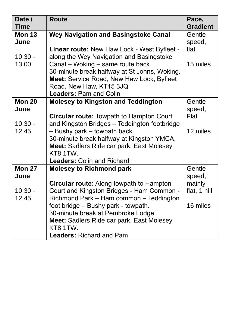| Date /<br><b>Time</b> | <b>Route</b>                                                                                                                                                                                                                                                                                 | Pace,<br><b>Gradient</b>   |
|-----------------------|----------------------------------------------------------------------------------------------------------------------------------------------------------------------------------------------------------------------------------------------------------------------------------------------|----------------------------|
| <b>Mon 13</b><br>June | <b>Wey Navigation and Basingstoke Canal</b>                                                                                                                                                                                                                                                  | Gentle<br>speed,           |
| $10.30 -$<br>13.00    | <b>Linear route: New Haw Lock - West Byfleet -</b><br>along the Wey Navigation and Basingstoke<br>Canal - Woking - same route back.<br>30-minute break halfway at St Johns, Woking.<br>Meet: Service Road, New Haw Lock, Byfleet<br>Road, New Haw, KT15 3JQ<br><b>Leaders: Pam and Colin</b> | flat<br>15 miles           |
| <b>Mon 20</b><br>June | <b>Molesey to Kingston and Teddington</b><br><b>Circular route: Towpath to Hampton Court</b>                                                                                                                                                                                                 | Gentle<br>speed,<br>Flat   |
| $10.30 -$<br>12.45    | and Kingston Bridges - Teddington footbridge<br>- Bushy park - towpath back.<br>30-minute break halfway at Kingston YMCA,<br>Meet: Sadlers Ride car park, East Molesey<br>KT8 1TW.<br><b>Leaders: Colin and Richard</b>                                                                      | 12 miles                   |
| <b>Mon 27</b><br>June | <b>Molesey to Richmond park</b><br>Circular route: Along towpath to Hampton                                                                                                                                                                                                                  | Gentle<br>speed,<br>mainly |
| $10.30 -$<br>12.45    | Court and Kingston Bridges - Ham Common -<br>Richmond Park - Ham common - Teddington<br>foot bridge - Bushy park - towpath.<br>30-minute break at Pembroke Lodge<br>Meet: Sadlers Ride car park, East Molesey<br>KT8 1TW.<br><b>Leaders: Richard and Pam</b>                                 | flat, 1 hill<br>16 miles   |